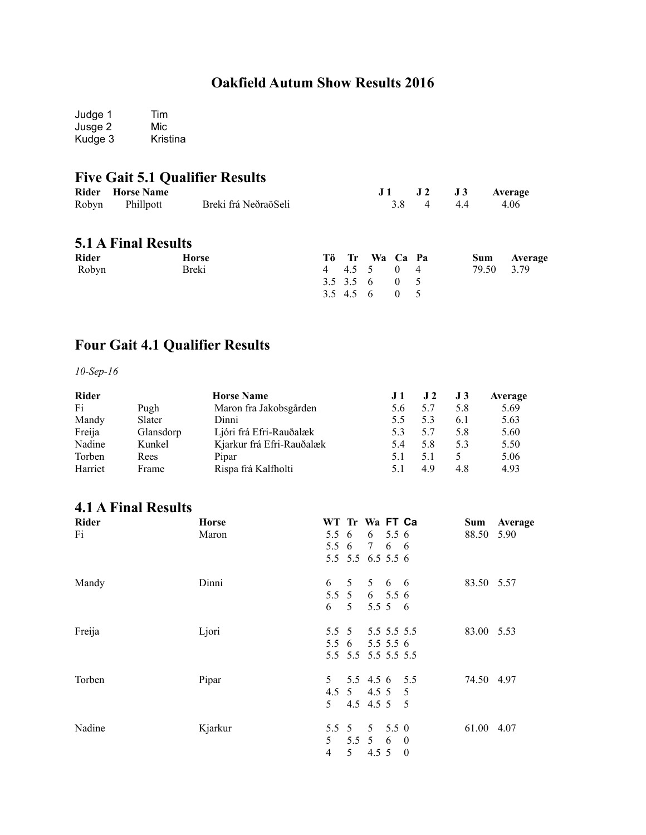#### **Oakfield Autum Show Results 2016**

Judge 1 Tim Jusge 2 Mic Kudge 3 Kristina

#### **Five Gait 5.1 Qualifier Results**

| Rider Horse Name           |                      |  | $J1$ $J2$ $J3$ | Average |
|----------------------------|----------------------|--|----------------|---------|
| Robyn Phillpott            | Breki frá NeðraöSeli |  | 3.8 4 4.4      | 4 06    |
| <b>5.1 A Final Results</b> |                      |  |                |         |

| <b>Rider</b> | <b>Horse</b> |  | Tö Tr Wa Ca Pa |  | <b>Sum</b> | Average |
|--------------|--------------|--|----------------|--|------------|---------|
| Robyn        | Breki        |  | 4 4.5 5 0 4    |  | 79.50 3.79 |         |
|              |              |  | 3.5 3.5 6 0 5  |  |            |         |
|              |              |  | 3.5 4.5 6 0 5  |  |            |         |

### **Four Gait 4.1 Qualifier Results**

*10-Sep-16*

| <b>Rider</b> |           | <b>Horse Name</b>         | J 1 | J2  | J3  | Average |
|--------------|-----------|---------------------------|-----|-----|-----|---------|
| Fi           | Pugh      | Maron fra Jakobsgården    | 5.6 | 5.7 | 5.8 | 5.69    |
| Mandy        | Slater    | Dinni                     | 5.5 | 5.3 | 6.1 | 5.63    |
| Freija       | Glansdorp | Ljóri frá Efri-Rauðalæk   | 5.3 | 5.7 | 5.8 | 5.60    |
| Nadine       | Kunkel    | Kjarkur frá Efri-Rauðalæk | 54  | 5.8 | 5.3 | 5.50    |
| Torben       | Rees      | Pipar                     |     | 5.1 |     | 5.06    |
| Harriet      | Frame     | Rispa frá Kalfholti       |     | 49  | 4.8 | 4.93    |

#### **4.1 A Final Results**

| Rider  | <b>Horse</b> | WT Tr Wa FT Ca |                     |                   |                 |                | Sum        | Average |
|--------|--------------|----------------|---------------------|-------------------|-----------------|----------------|------------|---------|
| Fi     | Maron        | $5.5\quad6$    |                     |                   | $6\quad 5.5\;6$ |                | 88.50      | 5.90    |
|        |              | $5.5\quad6$    |                     | $7\degree$        | 6 6             |                |            |         |
|        |              |                | 5.5 5.5 6.5 5.5 6   |                   |                 |                |            |         |
| Mandy  | Dinni        | 6              | 5 <sup>7</sup>      |                   | 5 6 6           |                | 83.50 5.57 |         |
|        |              |                | $5.5\quad 5$        |                   | $6\quad 5.5\ 6$ |                |            |         |
|        |              |                | 6 5                 |                   | 5.5 5 6         |                |            |         |
| Freija | Ljori        |                | 5.5 5 5.5 5.5 5.5   |                   |                 |                | 83.00 5.53 |         |
|        |              |                | 5.5 6 5.5 5.5 6     |                   |                 |                |            |         |
|        |              |                | 5.5 5.5 5.5 5.5 5.5 |                   |                 |                |            |         |
| Torben | Pipar        | 5              |                     | 5.5 4.5 6 5.5     |                 |                | 74.50 4.97 |         |
|        |              |                | 4.5 5 4.5 5         |                   |                 | 5              |            |         |
|        |              | 5.             |                     | 4.5 4.5 5         |                 | $\overline{5}$ |            |         |
| Nadine | Kjarkur      |                | 5.5 5 5 5.5 0       |                   |                 |                | 61.00 4.07 |         |
|        |              | 5              |                     | $5.5 \t5 \t6 \t0$ |                 |                |            |         |
|        |              | 4              | 5                   | 4.5 5             |                 | $\bf{0}$       |            |         |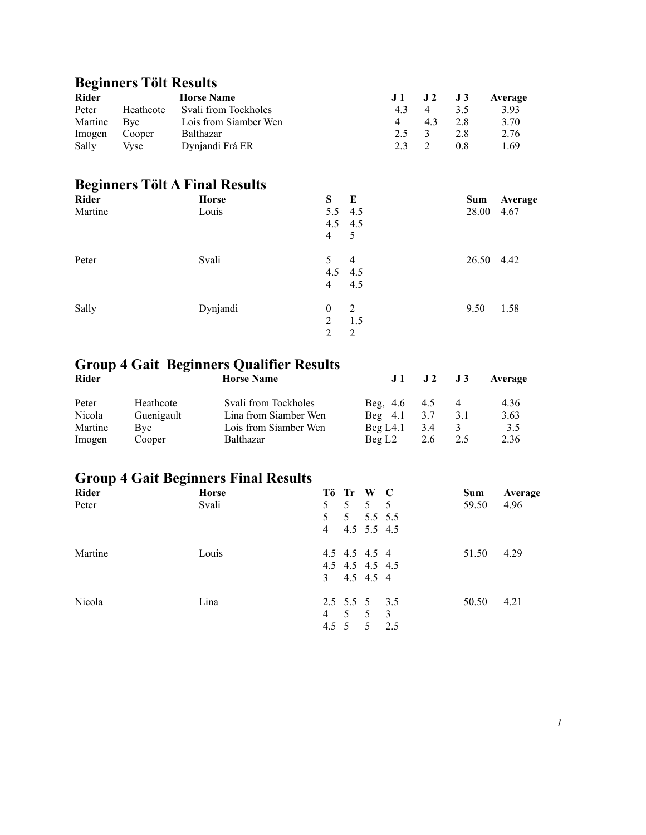#### **Beginners Tölt Results**

| <b>Rider</b> |             | <b>Horse Name</b>     |     | $J1$ $J2$ $J3$ |     | Average |
|--------------|-------------|-----------------------|-----|----------------|-----|---------|
| Peter        | Heathcote   | Svali from Tockholes  | 43  | $\overline{4}$ | 35  | 3.93    |
| Martine      | <b>B</b> ve | Lois from Siamber Wen |     | 43             | 2.8 | 3.70    |
| Imogen       | Cooper      | Balthazar             | 2.5 |                | 2.8 | 2.76    |
| Sally        | Vvse        | Dynjandi Frá ER       | 23  |                | 0.8 | 1.69    |

#### **Beginners Tölt A Final Results**

| Rider   | Horse    | S              | E              | Sum        | Average |
|---------|----------|----------------|----------------|------------|---------|
| Martine | Louis    | $5.5$ 4.5      |                | 28.00      | 4.67    |
|         |          | $4.5$ $4.5$    |                |            |         |
|         |          | $\overline{4}$ | -5             |            |         |
| Peter   | Svali    | 5              | $\overline{4}$ | 26.50 4.42 |         |
|         |          | $4.5$ $4.5$    |                |            |         |
|         |          | $\overline{4}$ | 4.5            |            |         |
| Sally   | Dynjandi | $\mathbf{0}$   | 2              | 9.50       | 1.58    |
|         |          | 2              | 1.5            |            |         |
|         |          | 2              | 2              |            |         |

#### **Group 4 Gait Beginners Qualifier Results**

| Rider   |            | <b>Horse Name</b>     |                 | $J1$ $J2$ $J3$ |     | Average |
|---------|------------|-----------------------|-----------------|----------------|-----|---------|
| Peter   | Heathcote  | Svali from Tockholes  | Beg. $4.6$      | 4.5            | 4   | 4.36    |
| Nicola  | Guenigault | Lina from Siamber Wen | $Beq \quad 4.1$ | 3.7            | 3.1 | 3.63    |
| Martine | Bye        | Lois from Siamber Wen | Beq L4.1        | 3.4            |     | 3.5     |
| Imogen  | Cooper     | Balthazar             | Beq L2          | 2.6            | 2.5 | 2.36    |

# **Group 4 Gait Beginners Final Results**

| Rider   | <b>Horse</b> |                |       | Tö Tr W C                    |                | Sum   | Average |
|---------|--------------|----------------|-------|------------------------------|----------------|-------|---------|
| Peter   | Svali        | 5              | 5     | $5\quad 5$                   |                | 59.50 | 4.96    |
|         |              | 5              |       | $5 \t 5.5 \t 5.5$            |                |       |         |
|         |              | $\overline{4}$ |       | 4.5 5.5 4.5                  |                |       |         |
| Martine | Louis        |                |       | 4.5 4.5 4.5 4                |                | 51.50 | 4.29    |
|         |              |                |       | 4.5 4.5 4.5 4.5              |                |       |         |
|         |              |                |       | $3\quad 4.5\quad 4.5\quad 4$ |                |       |         |
| Nicola  | Lina         |                |       | 2.5 5.5 5 3.5                |                | 50.50 | 4.21    |
|         |              |                | 4 5 5 |                              | $\overline{3}$ |       |         |
|         |              | $4.5 \t5$      |       | 5 <sup>5</sup>               | 2.5            |       |         |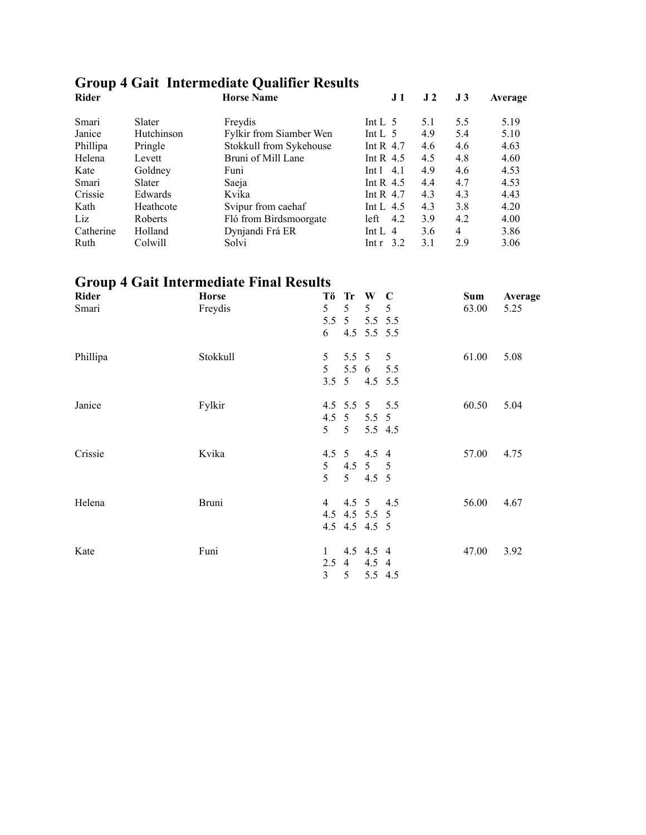#### **Group 4 Gait Intermediate Qualifier Results**

| <b>Rider</b> |            | <b>Horse Name</b>       | J <sub>1</sub>          | J <sub>2</sub> | J3  | Average |
|--------------|------------|-------------------------|-------------------------|----------------|-----|---------|
| Smari        | Slater     | Freydis                 | Int L $\,$ 5            | 5.1            | 5.5 | 5.19    |
| Janice       | Hutchinson | Fylkir from Siamber Wen | Int L $\,$ 5            | 4.9            | 5.4 | 5.10    |
| Phillipa     | Pringle    | Stokkull from Sykehouse | Int R $4.7$             | 4.6            | 4.6 | 4.63    |
| Helena       | Levett     | Bruni of Mill Lane      | Int R $4.5$             | 4.5            | 4.8 | 4.60    |
| Kate         | Goldney    | Funi                    | Int <sub>1</sub><br>4.1 | 4.9            | 4.6 | 4.53    |
| Smari        | Slater     | Saeja                   | Int R $4.5$             | 4.4            | 4.7 | 4.53    |
| Crissie      | Edwards    | Kvika                   | Int R $4.7$             | 4.3            | 4.3 | 4.43    |
| Kath         | Heathcote  | Svipur from caehaf      | Int L $4.5$             | 4.3            | 3.8 | 4.20    |
| Liz          | Roberts    | Fló from Birdsmoorgate  | left<br>4.2             | 3.9            | 4.2 | 4.00    |
| Catherine    | Holland    | Dynjandi Frá ER         | Int L $4$               | 3.6            | 4   | 3.86    |
| Ruth         | Colwill    | Solvi                   | 3.2<br>Intr             | 3.1            | 2.9 | 3.06    |

# **Group 4 Gait Intermediate Final Results**

| <b>Rider</b><br>Smari | <b>Horse</b><br>Freydis | Тö<br>Tr W<br>$\mathbf C$<br>5<br>5<br>5<br>5<br>5.5 5 5.5 5.5<br>4.5 5.5 5.5<br>6             | <b>Sum</b><br>Average<br>63.00<br>5.25 |
|-----------------------|-------------------------|------------------------------------------------------------------------------------------------|----------------------------------------|
| Phillipa              | Stokkull                | 5<br>$5.5\ 5$<br>$5\overline{)}$<br>5<br>5.5<br>$6 \t 5.5$<br>$3.5 \quad 5$<br>$4.5$ 5.5       | 61.00<br>5.08                          |
| Janice                | Fylkir                  | 4.5 5.5 5 5.5<br>4.5 5 5.5 5<br>$5 \quad 5$<br>5.5 4.5                                         | 60.50<br>5.04                          |
| Crissie               | Kvika                   | 4.5 5 4.5 4<br>5 <sup>5</sup><br>$4.5 \quad 5 \quad 5$<br>5<br>5 <sup>5</sup><br>$4.5 \quad 5$ | 57.00<br>4.75                          |
| Helena                | <b>Bruni</b>            | 4.5 5 4.5<br>$\overline{4}$<br>4.5 4.5 5.5 5<br>4.5 4.5 4.5 5                                  | 56.00<br>4.67                          |
| Kate                  | Funi                    | 4.5 4.5 4<br>$\mathbf{1}$<br>$2.5\quad4$<br>$4.5 \quad 4$<br>$\mathfrak{Z}$<br>5<br>5.5 4.5    | 47.00<br>3.92                          |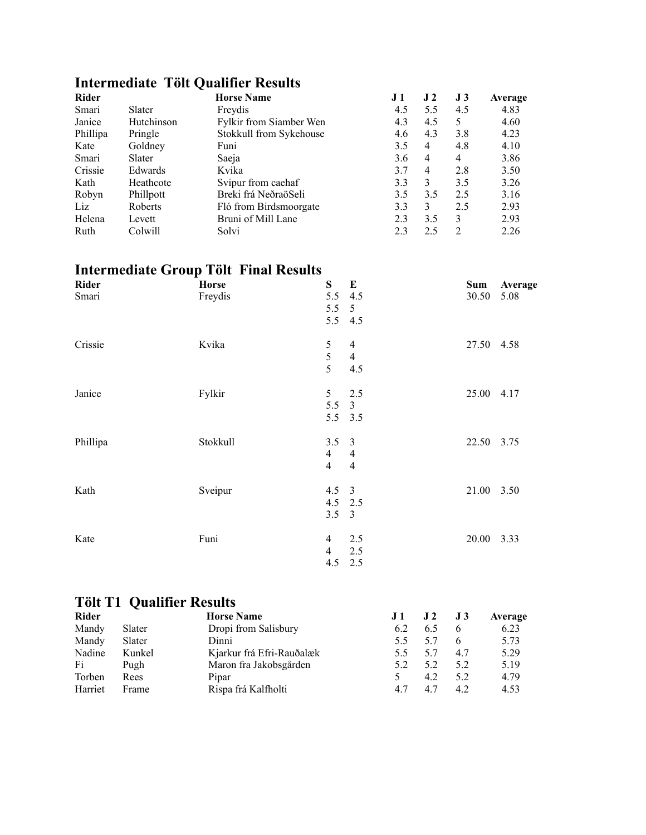# **Intermediate Tölt Qualifier Results**

| <b>Rider</b> |            | <b>Horse Name</b>       | <b>J</b> 1 | J <sub>2</sub> | J <sub>3</sub> | Average |
|--------------|------------|-------------------------|------------|----------------|----------------|---------|
| Smari        | Slater     | Freydis                 | 4.5        | 5.5            | 4.5            | 4.83    |
| Janice       | Hutchinson | Fylkir from Siamber Wen | 4.3        | 4.5            | 5              | 4.60    |
| Phillipa     | Pringle    | Stokkull from Sykehouse | 4.6        | 4.3            | 3.8            | 4.23    |
| Kate         | Goldney    | Funi                    | 3.5        | 4              | 4.8            | 4.10    |
| Smari        | Slater     | Saeja                   | 3.6        | 4              | $\overline{4}$ | 3.86    |
| Crissie      | Edwards    | Kvika                   | 3.7        | 4              | 2.8            | 3.50    |
| Kath         | Heathcote  | Svipur from caehaf      | 3.3        | 3              | 3.5            | 3.26    |
| Robyn        | Phillpott  | Breki frá NeðraöSeli    | 3.5        | 3.5            | 2.5            | 3.16    |
| Liz          | Roberts    | Fló from Birdsmoorgate  | 3.3        | 3              | 2.5            | 2.93    |
| Helena       | Levett     | Bruni of Mill Lane      | 2.3        | 3.5            | 3              | 2.93    |
| Ruth         | Colwill    | Solvi                   | 2.3        | 2.5            | $\mathcal{D}$  | 2.26    |

# **Intermediate Group Tölt Final Results**

| <b>Rider</b><br>Smari | <b>Horse</b><br>Freydis | S<br>5.5<br>5.5<br>5.5                            | E<br>4.5<br>5<br>4.5                    | Sum<br>30.50 | Average<br>5.08 |
|-----------------------|-------------------------|---------------------------------------------------|-----------------------------------------|--------------|-----------------|
| Crissie               | Kvika                   | 5<br>5<br>5                                       | $\overline{4}$<br>$\overline{4}$<br>4.5 | 27.50 4.58   |                 |
| Janice                | Fylkir                  | $5\overline{)}$<br>5.5<br>5.5                     | 2.5<br>$\overline{3}$<br>3.5            | 25.00 4.17   |                 |
| Phillipa              | Stokkull                | $3.5 \quad 3$<br>$\overline{4}$<br>$\overline{4}$ | $\overline{4}$<br>$\overline{4}$        | 22.50 3.75   |                 |
| Kath                  | Sveipur                 | $4.5 \quad 3$<br>4.5 2.5<br>3.5                   | $\overline{3}$                          | 21.00 3.50   |                 |
| Kate                  | Funi                    | $\overline{4}$<br>$\overline{4}$<br>4.5           | 2.5<br>2.5<br>2.5                       | 20.00 3.33   |                 |

# **Tölt T1 Qualifier Results**

| <b>Rider</b> |        | <b>Horse Name</b>         | J 1 | J <sub>2</sub> | J3  | Average |
|--------------|--------|---------------------------|-----|----------------|-----|---------|
| Mandy        | Slater | Dropi from Salisbury      | 6.2 | 6.5            | 6   | 6.23    |
| Mandy        | Slater | Dinni                     | 5.5 | 5.7            |     | 5.73    |
| Nadine       | Kunkel | Kjarkur frá Efri-Rauðalæk | 5.5 | 5.7            | 4.7 | 5.29    |
| Fi           | Pugh   | Maron fra Jakobsgården    | 5.2 | 5.2            | 5.2 | 5.19    |
| Torben       | Rees   | Pipar                     |     | 4.2            | 5.2 | 4.79    |
| Harriet      | Frame  | Rispa frá Kalfholti       | 4.7 | 4.7            | 4.2 | 4.53    |